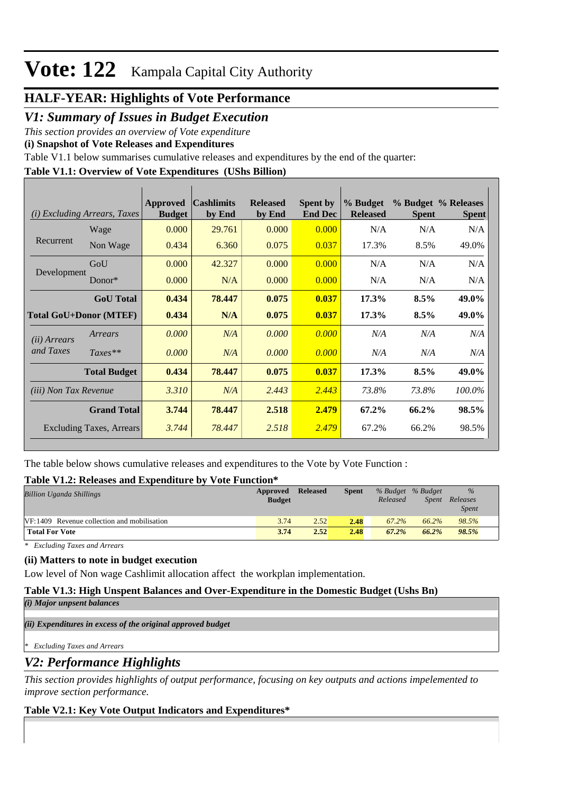## **Vote: 122** Kampala Capital City Authority

## **HALF-YEAR: Highlights of Vote Performance**

*V1: Summary of Issues in Budget Execution*

*This section provides an overview of Vote expenditure* 

**(i) Snapshot of Vote Releases and Expenditures**

Table V1.1 below summarises cumulative releases and expenditures by the end of the quarter:

### **Table V1.1: Overview of Vote Expenditures (UShs Billion)**

| (i)                             | <b>Excluding Arrears, Taxes</b> | Approved<br><b>Budget</b> | <b>Cashlimits</b><br>by End | <b>Released</b><br>by End | <b>Spent by</b><br><b>End Dec</b> | % Budget<br><b>Released</b> | <b>Spent</b> | % Budget % Releases<br><b>Spent</b> |
|---------------------------------|---------------------------------|---------------------------|-----------------------------|---------------------------|-----------------------------------|-----------------------------|--------------|-------------------------------------|
|                                 | Wage                            | 0.000                     | 29.761                      | 0.000                     | 0.000                             | N/A                         | N/A          | N/A                                 |
| Recurrent                       | Non Wage                        | 0.434                     | 6.360                       | 0.075                     | 0.037                             | 17.3%                       | 8.5%         | 49.0%                               |
|                                 | GoU                             | 0.000                     | 42.327                      | 0.000                     | 0.000                             | N/A                         | N/A          | N/A                                 |
| Development                     | Donor $*$                       | 0.000                     | N/A                         | 0.000                     | 0.000                             | N/A                         | N/A          | N/A                                 |
|                                 | <b>GoU</b> Total                | 0.434                     | 78.447                      | 0.075                     | 0.037                             | 17.3%                       | 8.5%         | 49.0%                               |
| <b>Total GoU+Donor (MTEF)</b>   |                                 | 0.434                     | N/A                         | 0.075                     | 0.037                             | 17.3%                       | 8.5%         | 49.0%                               |
| ( <i>ii</i> ) Arrears           | Arrears                         | 0.000                     | N/A                         | 0.000                     | 0.000                             | N/A                         | N/A          | N/A                                 |
| and Taxes                       | $Taxes**$                       | 0.000                     | N/A                         | 0.000                     | 0.000                             | N/A                         | N/A          | N/A                                 |
|                                 | <b>Total Budget</b>             | 0.434                     | 78.447                      | 0.075                     | 0.037                             | 17.3%                       | 8.5%         | 49.0%                               |
| <i>(iii)</i> Non Tax Revenue    |                                 | 3.310                     | N/A                         | 2.443                     | 2.443                             | 73.8%                       | 73.8%        | 100.0%                              |
| <b>Grand Total</b>              |                                 | 3.744                     | 78.447                      | 2.518                     | 2.479                             | 67.2%                       | 66.2%        | 98.5%                               |
| <b>Excluding Taxes, Arrears</b> |                                 | 3.744                     | 78.447                      | 2.518                     | 2.479                             | 67.2%                       | 66.2%        | 98.5%                               |

The table below shows cumulative releases and expenditures to the Vote by Vote Function :

### **Table V1.2: Releases and Expenditure by Vote Function\***

| <b>Billion Uganda Shillings</b>             | Approved<br><b>Budget</b> | <b>Released</b> | Spent | % Budget % Budget<br>Released | Spent | $\%$<br>Releases<br><i>Spent</i> |
|---------------------------------------------|---------------------------|-----------------|-------|-------------------------------|-------|----------------------------------|
| VF:1409 Revenue collection and mobilisation | 3.74                      | 2.52            | 2.48  | 67.2%                         | 66.2% | 98.5%                            |
| <b>Total For Vote</b>                       | 3.74                      | 2.52            | 2.48  | 67.2%                         | 66.2% | 98.5%                            |

*\* Excluding Taxes and Arrears*

#### **(ii) Matters to note in budget execution**

Low level of Non wage Cashlimit allocation affect the workplan implementation.

#### **Table V1.3: High Unspent Balances and Over-Expenditure in the Domestic Budget (Ushs Bn)**

*(i) Major unpsent balances*

*(ii) Expenditures in excess of the original approved budget*

*\* Excluding Taxes and Arrears*

## *V2: Performance Highlights*

*This section provides highlights of output performance, focusing on key outputs and actions impelemented to improve section performance.*

### **Table V2.1: Key Vote Output Indicators and Expenditures\***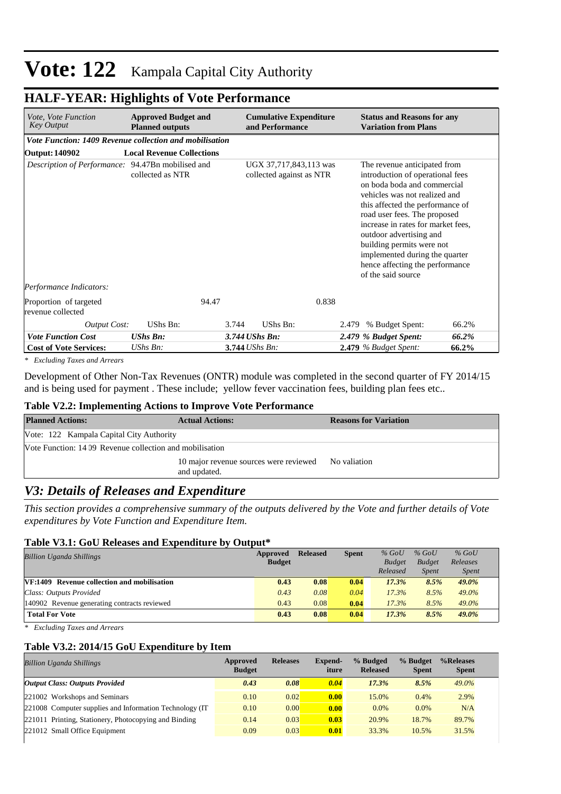## Vote: 122 Kampala Capital City Authority

## **HALF-YEAR: Highlights of Vote Performance**

| <i>Vote, Vote Function</i><br><b>Key Output</b>         | <b>Approved Budget and</b><br><b>Planned outputs</b> | <b>Cumulative Expenditure</b><br>and Performance   | <b>Status and Reasons for any</b><br><b>Variation from Plans</b>                                                                                                                                                                                                                                                                                                                              |
|---------------------------------------------------------|------------------------------------------------------|----------------------------------------------------|-----------------------------------------------------------------------------------------------------------------------------------------------------------------------------------------------------------------------------------------------------------------------------------------------------------------------------------------------------------------------------------------------|
| Vote Function: 1409 Revenue collection and mobilisation |                                                      |                                                    |                                                                                                                                                                                                                                                                                                                                                                                               |
| Output: 140902                                          | <b>Local Revenue Collections</b>                     |                                                    |                                                                                                                                                                                                                                                                                                                                                                                               |
| Description of Performance: 94.47Bn mobilised and       | collected as NTR                                     | UGX 37,717,843,113 was<br>collected against as NTR | The revenue anticipated from<br>introduction of operational fees<br>on boda boda and commercial<br>vehicles was not realized and<br>this affected the performance of<br>road user fees. The proposed<br>increase in rates for market fees,<br>outdoor advertising and<br>building permits were not<br>implemented during the quarter<br>hence affecting the performance<br>of the said source |
| Performance Indicators:                                 |                                                      |                                                    |                                                                                                                                                                                                                                                                                                                                                                                               |
| Proportion of targeted<br>revenue collected             | 94.47                                                | 0.838                                              |                                                                                                                                                                                                                                                                                                                                                                                               |
| <b>Output Cost:</b>                                     | UShs Bn:                                             | 3.744<br>UShs Bn:                                  | % Budget Spent:<br>66.2%<br>2.479                                                                                                                                                                                                                                                                                                                                                             |
| <b>Vote Function Cost</b>                               | <b>UShs Bn:</b>                                      | 3.744 UShs Bn:                                     | 66.2%<br>2.479 % Budget Spent:                                                                                                                                                                                                                                                                                                                                                                |
| <b>Cost of Vote Services:</b>                           | UShs Bn:                                             | 3.744 UShs Bn:                                     | 66.2%<br>2.479 % Budget Spent:                                                                                                                                                                                                                                                                                                                                                                |

*\* Excluding Taxes and Arrears*

Development of Other Non-Tax Revenues (ONTR) module was completed in the second quarter of FY 2014/15 and is being used for payment . These include; yellow fever vaccination fees, building plan fees etc..

#### **Table V2.2: Implementing Actions to Improve Vote Performance**

| <b>Planned Actions:</b>                                  | <b>Actual Actions:</b>                                              | <b>Reasons for Variation</b> |
|----------------------------------------------------------|---------------------------------------------------------------------|------------------------------|
| Vote: 122 Kampala Capital City Authority                 |                                                                     |                              |
| Vote Function: 14 09 Revenue collection and mobilisation |                                                                     |                              |
|                                                          | 10 major revenue sources were reviewed No valiation<br>and updated. |                              |

## *V3: Details of Releases and Expenditure*

*This section provides a comprehensive summary of the outputs delivered by the Vote and further details of Vote expenditures by Vote Function and Expenditure Item.*

#### **Table V3.1: GoU Releases and Expenditure by Output\***

| <b>Billion Uganda Shillings</b>                    | Approved      | <b>Released</b> | <b>Spent</b> | $%$ GoU       | $%$ GoU       | $%$ GoU      |
|----------------------------------------------------|---------------|-----------------|--------------|---------------|---------------|--------------|
|                                                    | <b>Budget</b> |                 |              | <b>Budget</b> | <b>Budget</b> | Releases     |
|                                                    |               |                 |              | Released      | <b>Spent</b>  | <i>Spent</i> |
| <b>VF:1409</b> Revenue collection and mobilisation | 0.43          | 0.08            | 0.04         | 17.3%         | 8.5%          | 49.0%        |
| Class: Outputs Provided                            | 0.43          | 0.08            | 0.04         | 17.3%         | 8.5%          | 49.0%        |
| 140902 Revenue generating contracts reviewed       | 0.43          | 0.08            | 0.04         | 17.3%         | 8.5%          | 49.0%        |
| <b>Total For Vote</b>                              | 0.43          | 0.08            | 0.04         | 17.3%         | 8.5%          | 49.0%        |

*\* Excluding Taxes and Arrears*

#### **Table V3.2: 2014/15 GoU Expenditure by Item**

| <b>Billion Uganda Shillings</b>                          | <b>Releases</b><br>Approved<br><b>Budget</b> |      | <b>Expend-</b><br>iture | % Budged<br><b>Released</b> | % Budget<br><b>Spent</b> | %Releases<br><b>Spent</b> |
|----------------------------------------------------------|----------------------------------------------|------|-------------------------|-----------------------------|--------------------------|---------------------------|
| <b>Output Class: Outputs Provided</b>                    | 0.43                                         | 0.08 | 0.04                    | 17.3%                       | 8.5%                     | $49.0\%$                  |
| 221002 Workshops and Seminars                            | 0.10                                         | 0.02 | 0.00                    | 15.0%                       | 0.4%                     | 2.9%                      |
| 221008 Computer supplies and Information Technology (IT) | 0.10                                         | 0.00 | 0.00                    | 0.0%                        | $0.0\%$                  | N/A                       |
| 221011 Printing, Stationery, Photocopying and Binding    | 0.14                                         | 0.03 | 0.03                    | 20.9%                       | 18.7%                    | 89.7%                     |
| 221012 Small Office Equipment                            | 0.09                                         | 0.03 | 0.01                    | 33.3%                       | 10.5%                    | 31.5%                     |
|                                                          |                                              |      |                         |                             |                          |                           |